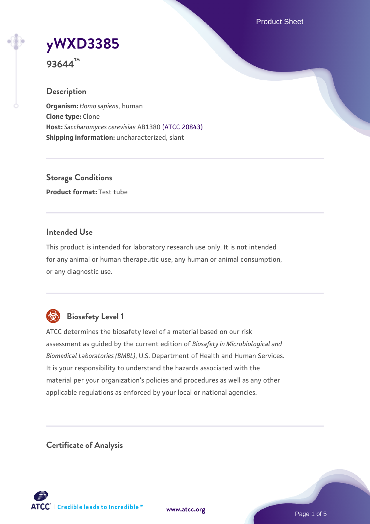Product Sheet

# **[yWXD3385](https://www.atcc.org/products/93644)**

**93644™**

# **Description**

**Organism:** *Homo sapiens*, human **Clone type:** Clone **Host:** *Saccharomyces cerevisiae* AB1380 [\(ATCC 20843\)](https://www.atcc.org/products/20843) **Shipping information:** uncharacterized, slant

**Storage Conditions Product format:** Test tube

## **Intended Use**

This product is intended for laboratory research use only. It is not intended for any animal or human therapeutic use, any human or animal consumption, or any diagnostic use.



# **Biosafety Level 1**

ATCC determines the biosafety level of a material based on our risk assessment as guided by the current edition of *Biosafety in Microbiological and Biomedical Laboratories (BMBL)*, U.S. Department of Health and Human Services. It is your responsibility to understand the hazards associated with the material per your organization's policies and procedures as well as any other applicable regulations as enforced by your local or national agencies.

**Certificate of Analysis**

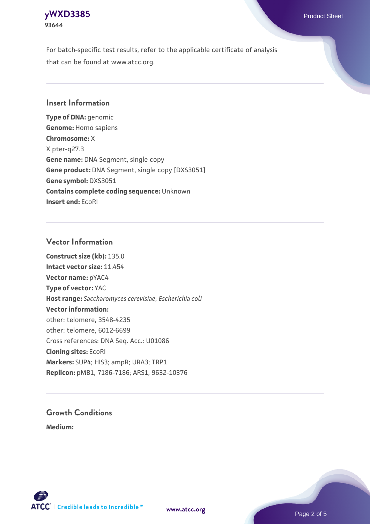# **[yWXD3385](https://www.atcc.org/products/93644)** Product Sheet **93644**

For batch-specific test results, refer to the applicable certificate of analysis that can be found at www.atcc.org.

## **Insert Information**

**Type of DNA:** genomic **Genome:** Homo sapiens **Chromosome:** X X pter-q27.3 **Gene name:** DNA Segment, single copy **Gene product:** DNA Segment, single copy [DXS3051] **Gene symbol:** DXS3051 **Contains complete coding sequence:** Unknown **Insert end:** EcoRI

## **Vector Information**

**Construct size (kb):** 135.0 **Intact vector size:** 11.454 **Vector name:** pYAC4 **Type of vector:** YAC **Host range:** *Saccharomyces cerevisiae*; *Escherichia coli* **Vector information:** other: telomere, 3548-4235 other: telomere, 6012-6699 Cross references: DNA Seq. Acc.: U01086 **Cloning sites:** EcoRI **Markers:** SUP4; HIS3; ampR; URA3; TRP1 **Replicon:** pMB1, 7186-7186; ARS1, 9632-10376

# **Growth Conditions**

**Medium:** 



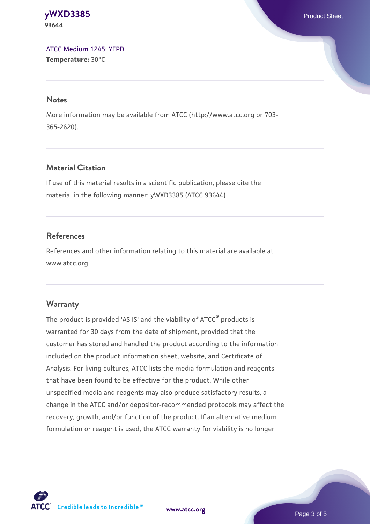#### **[yWXD3385](https://www.atcc.org/products/93644)** Product Sheet **93644**

[ATCC Medium 1245: YEPD](https://www.atcc.org/-/media/product-assets/documents/microbial-media-formulations/1/2/4/5/atcc-medium-1245.pdf?rev=705ca55d1b6f490a808a965d5c072196) **Temperature:** 30°C

#### **Notes**

More information may be available from ATCC (http://www.atcc.org or 703- 365-2620).

# **Material Citation**

If use of this material results in a scientific publication, please cite the material in the following manner: yWXD3385 (ATCC 93644)

# **References**

References and other information relating to this material are available at www.atcc.org.

# **Warranty**

The product is provided 'AS IS' and the viability of ATCC® products is warranted for 30 days from the date of shipment, provided that the customer has stored and handled the product according to the information included on the product information sheet, website, and Certificate of Analysis. For living cultures, ATCC lists the media formulation and reagents that have been found to be effective for the product. While other unspecified media and reagents may also produce satisfactory results, a change in the ATCC and/or depositor-recommended protocols may affect the recovery, growth, and/or function of the product. If an alternative medium formulation or reagent is used, the ATCC warranty for viability is no longer



**[www.atcc.org](http://www.atcc.org)**

Page 3 of 5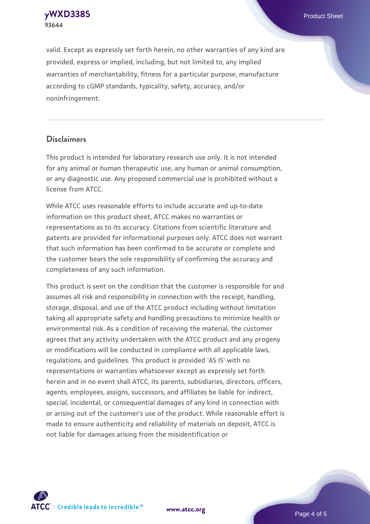**[yWXD3385](https://www.atcc.org/products/93644)** Product Sheet **93644**

valid. Except as expressly set forth herein, no other warranties of any kind are provided, express or implied, including, but not limited to, any implied warranties of merchantability, fitness for a particular purpose, manufacture according to cGMP standards, typicality, safety, accuracy, and/or noninfringement.

#### **Disclaimers**

This product is intended for laboratory research use only. It is not intended for any animal or human therapeutic use, any human or animal consumption, or any diagnostic use. Any proposed commercial use is prohibited without a license from ATCC.

While ATCC uses reasonable efforts to include accurate and up-to-date information on this product sheet, ATCC makes no warranties or representations as to its accuracy. Citations from scientific literature and patents are provided for informational purposes only. ATCC does not warrant that such information has been confirmed to be accurate or complete and the customer bears the sole responsibility of confirming the accuracy and completeness of any such information.

This product is sent on the condition that the customer is responsible for and assumes all risk and responsibility in connection with the receipt, handling, storage, disposal, and use of the ATCC product including without limitation taking all appropriate safety and handling precautions to minimize health or environmental risk. As a condition of receiving the material, the customer agrees that any activity undertaken with the ATCC product and any progeny or modifications will be conducted in compliance with all applicable laws, regulations, and guidelines. This product is provided 'AS IS' with no representations or warranties whatsoever except as expressly set forth herein and in no event shall ATCC, its parents, subsidiaries, directors, officers, agents, employees, assigns, successors, and affiliates be liable for indirect, special, incidental, or consequential damages of any kind in connection with or arising out of the customer's use of the product. While reasonable effort is made to ensure authenticity and reliability of materials on deposit, ATCC is not liable for damages arising from the misidentification or



**[www.atcc.org](http://www.atcc.org)**

Page 4 of 5